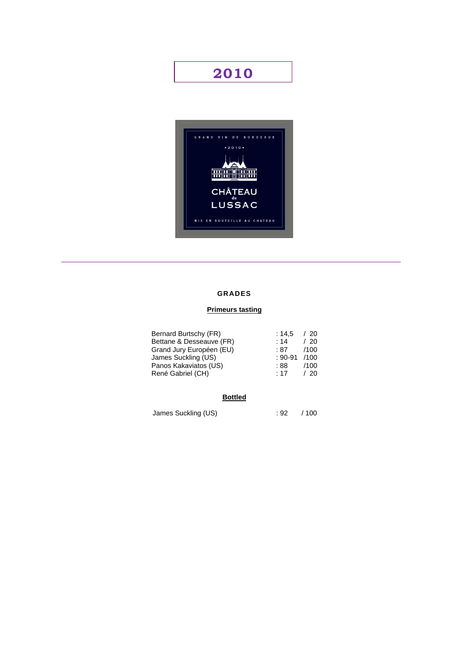# **2010**



## **GRADES**

## **Primeurs tasting**

| Bernard Burtschy (FR)    | : 14.5      | / 20 |
|--------------------------|-------------|------|
| Bettane & Desseauve (FR) | : 14        | /20  |
| Grand Jury Européen (EU) | :87         | /100 |
| James Suckling (US)      | $: 90 - 91$ | /100 |
| Panos Kakaviatos (US)    | :88:        | /100 |
| René Gabriel (CH)        | : 17        | /20  |
|                          |             |      |

## **Bottled**

James Suckling (US)  $\qquad \qquad$  : 92 / 100